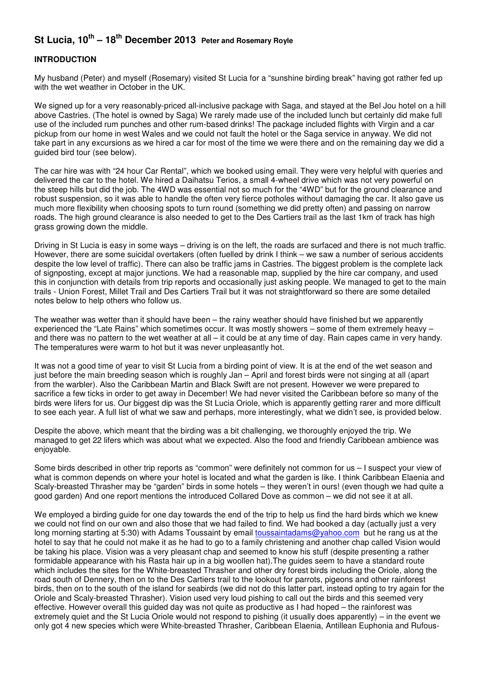# **St Lucia, 10th – 18th December 2013 Peter and Rosemary Royle**

## **INTRODUCTION**

My husband (Peter) and myself (Rosemary) visited St Lucia for a "sunshine birding break" having got rather fed up with the wet weather in October in the UK.

We signed up for a very reasonably-priced all-inclusive package with Saga, and stayed at the Bel Jou hotel on a hill above Castries. (The hotel is owned by Saga) We rarely made use of the included lunch but certainly did make full use of the included rum punches and other rum-based drinks! The package included flights with Virgin and a car pickup from our home in west Wales and we could not fault the hotel or the Saga service in anyway. We did not take part in any excursions as we hired a car for most of the time we were there and on the remaining day we did a guided bird tour (see below).

The car hire was with "24 hour Car Rental", which we booked using email. They were very helpful with queries and delivered the car to the hotel. We hired a Daihatsu Terios, a small 4-wheel drive which was not very powerful on the steep hills but did the job. The 4WD was essential not so much for the "4WD" but for the ground clearance and robust suspension, so it was able to handle the often very fierce potholes without damaging the car. It also gave us much more flexibility when choosing spots to turn round (something we did pretty often) and passing on narrow roads. The high ground clearance is also needed to get to the Des Cartiers trail as the last 1km of track has high grass growing down the middle.

Driving in St Lucia is easy in some ways – driving is on the left, the roads are surfaced and there is not much traffic. However, there are some suicidal overtakers (often fuelled by drink I think – we saw a number of serious accidents despite the low level of traffic). There can also be traffic jams in Castries. The biggest problem is the complete lack of signposting, except at major junctions. We had a reasonable map, supplied by the hire car company, and used this in conjunction with details from trip reports and occasionally just asking people. We managed to get to the main trails - Union Forest, Millet Trail and Des Cartiers Trail but it was not straightforward so there are some detailed notes below to help others who follow us.

The weather was wetter than it should have been – the rainy weather should have finished but we apparently experienced the "Late Rains" which sometimes occur. It was mostly showers – some of them extremely heavy – and there was no pattern to the wet weather at all – it could be at any time of day. Rain capes came in very handy. The temperatures were warm to hot but it was never unpleasantly hot.

It was not a good time of year to visit St Lucia from a birding point of view. It is at the end of the wet season and just before the main breeding season which is roughly Jan – April and forest birds were not singing at all (apart from the warbler). Also the Caribbean Martin and Black Swift are not present. However we were prepared to sacrifice a few ticks in order to get away in December! We had never visited the Caribbean before so many of the birds were lifers for us. Our biggest dip was the St Lucia Oriole, which is apparently getting rarer and more difficult to see each year. A full list of what we saw and perhaps, more interestingly, what we didn't see, is provided below.

Despite the above, which meant that the birding was a bit challenging, we thoroughly enjoyed the trip. We managed to get 22 lifers which was about what we expected. Also the food and friendly Caribbean ambience was enjoyable.

Some birds described in other trip reports as "common" were definitely not common for us – I suspect your view of what is common depends on where your hotel is located and what the garden is like. I think Caribbean Elaenia and Scaly-breasted Thrasher may be "garden" birds in some hotels – they weren't in ours! (even though we had quite a good garden) And one report mentions the introduced Collared Dove as common – we did not see it at all.

We employed a birding guide for one day towards the end of the trip to help us find the hard birds which we knew we could not find on our own and also those that we had failed to find. We had booked a day (actually just a very long morning starting at 5:30) with Adams Toussaint by email toussaintadams@yahoo.com but he rang us at the hotel to say that he could not make it as he had to go to a family christening and another chap called Vision would be taking his place. Vision was a very pleasant chap and seemed to know his stuff (despite presenting a rather formidable appearance with his Rasta hair up in a big woollen hat).The guides seem to have a standard route which includes the sites for the White-breasted Thrasher and other dry forest birds including the Oriole, along the road south of Dennery, then on to the Des Cartiers trail to the lookout for parrots, pigeons and other rainforest birds, then on to the south of the island for seabirds (we did not do this latter part, instead opting to try again for the Oriole and Scaly-breasted Thrasher). Vision used very loud pishing to call out the birds and this seemed very effective. However overall this guided day was not quite as productive as I had hoped – the rainforest was extremely quiet and the St Lucia Oriole would not respond to pishing (it usually does apparently) – in the event we only got 4 new species which were White-breasted Thrasher, Caribbean Elaenia, Antillean Euphonia and Rufous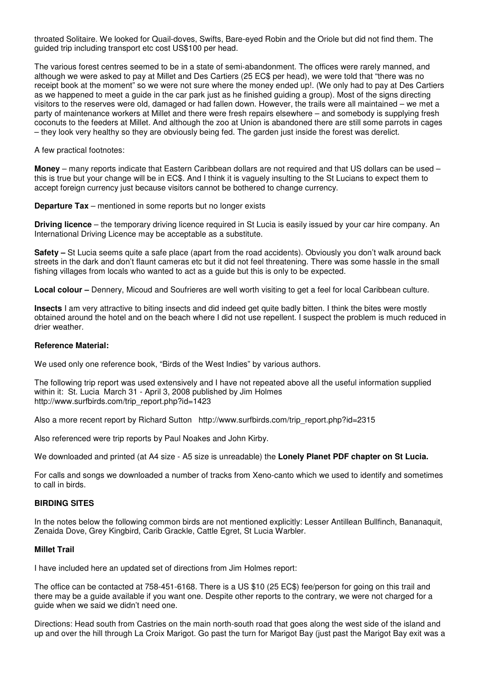throated Solitaire. We looked for Quail-doves, Swifts, Bare-eyed Robin and the Oriole but did not find them. The guided trip including transport etc cost US\$100 per head.

The various forest centres seemed to be in a state of semi-abandonment. The offices were rarely manned, and although we were asked to pay at Millet and Des Cartiers (25 EC\$ per head), we were told that "there was no receipt book at the moment" so we were not sure where the money ended up!. (We only had to pay at Des Cartiers as we happened to meet a guide in the car park just as he finished guiding a group). Most of the signs directing visitors to the reserves were old, damaged or had fallen down. However, the trails were all maintained – we met a party of maintenance workers at Millet and there were fresh repairs elsewhere – and somebody is supplying fresh coconuts to the feeders at Millet. And although the zoo at Union is abandoned there are still some parrots in cages – they look very healthy so they are obviously being fed. The garden just inside the forest was derelict.

A few practical footnotes:

**Money** – many reports indicate that Eastern Caribbean dollars are not required and that US dollars can be used – this is true but your change will be in EC\$. And I think it is vaguely insulting to the St Lucians to expect them to accept foreign currency just because visitors cannot be bothered to change currency.

**Departure Tax** – mentioned in some reports but no longer exists

**Driving licence** – the temporary driving licence required in St Lucia is easily issued by your car hire company. An International Driving Licence may be acceptable as a substitute.

**Safety –** St Lucia seems quite a safe place (apart from the road accidents). Obviously you don't walk around back streets in the dark and don't flaunt cameras etc but it did not feel threatening. There was some hassle in the small fishing villages from locals who wanted to act as a guide but this is only to be expected.

**Local colour –** Dennery, Micoud and Soufrieres are well worth visiting to get a feel for local Caribbean culture.

**Insects** I am very attractive to biting insects and did indeed get quite badly bitten. I think the bites were mostly obtained around the hotel and on the beach where I did not use repellent. I suspect the problem is much reduced in drier weather.

#### **Reference Material:**

We used only one reference book, "Birds of the West Indies" by various authors.

The following trip report was used extensively and I have not repeated above all the useful information supplied within it: St. Lucia March 31 - April 3, 2008 published by Jim Holmes http://www.surfbirds.com/trip\_report.php?id=1423

Also a more recent report by Richard Sutton http://www.surfbirds.com/trip\_report.php?id=2315

Also referenced were trip reports by Paul Noakes and John Kirby.

We downloaded and printed (at A4 size - A5 size is unreadable) the **Lonely Planet PDF chapter on St Lucia.**

For calls and songs we downloaded a number of tracks from Xeno-canto which we used to identify and sometimes to call in birds.

#### **BIRDING SITES**

In the notes below the following common birds are not mentioned explicitly: Lesser Antillean Bullfinch, Bananaquit, Zenaida Dove, Grey Kingbird, Carib Grackle, Cattle Egret, St Lucia Warbler.

## **Millet Trail**

I have included here an updated set of directions from Jim Holmes report:

The office can be contacted at 758-451-6168. There is a US \$10 (25 EC\$) fee/person for going on this trail and there may be a guide available if you want one. Despite other reports to the contrary, we were not charged for a guide when we said we didn't need one.

Directions: Head south from Castries on the main north-south road that goes along the west side of the island and up and over the hill through La Croix Marigot. Go past the turn for Marigot Bay (just past the Marigot Bay exit was a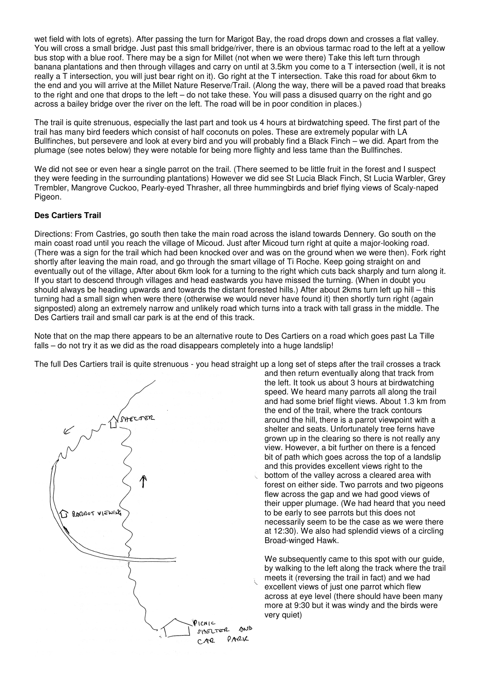wet field with lots of egrets). After passing the turn for Marigot Bay, the road drops down and crosses a flat valley. You will cross a small bridge. Just past this small bridge/river, there is an obvious tarmac road to the left at a yellow bus stop with a blue roof. There may be a sign for Millet (not when we were there) Take this left turn through banana plantations and then through villages and carry on until at 3.5km you come to a T intersection (well, it is not really a T intersection, you will just bear right on it). Go right at the T intersection. Take this road for about 6km to the end and you will arrive at the Millet Nature Reserve/Trail. (Along the way, there will be a paved road that breaks to the right and one that drops to the left – do not take these. You will pass a disused quarry on the right and go across a bailey bridge over the river on the left. The road will be in poor condition in places.)

The trail is quite strenuous, especially the last part and took us 4 hours at birdwatching speed. The first part of the trail has many bird feeders which consist of half coconuts on poles. These are extremely popular with LA Bullfinches, but persevere and look at every bird and you will probably find a Black Finch – we did. Apart from the plumage (see notes below) they were notable for being more flighty and less tame than the Bullfinches.

We did not see or even hear a single parrot on the trail. (There seemed to be little fruit in the forest and I suspect they were feeding in the surrounding plantations) However we did see St Lucia Black Finch, St Lucia Warbler, Grey Trembler, Mangrove Cuckoo, Pearly-eyed Thrasher, all three hummingbirds and brief flying views of Scaly-naped Pigeon.

## **Des Cartiers Trail**

Directions: From Castries, go south then take the main road across the island towards Dennery. Go south on the main coast road until you reach the village of Micoud. Just after Micoud turn right at quite a major-looking road. (There was a sign for the trail which had been knocked over and was on the ground when we were then). Fork right shortly after leaving the main road, and go through the smart village of Ti Roche. Keep going straight on and eventually out of the village, After about 6km look for a turning to the right which cuts back sharply and turn along it. If you start to descend through villages and head eastwards you have missed the turning. (When in doubt you should always be heading upwards and towards the distant forested hills.) After about 2kms turn left up hill – this turning had a small sign when were there (otherwise we would never have found it) then shortly turn right (again signposted) along an extremely narrow and unlikely road which turns into a track with tall grass in the middle. The Des Cartiers trail and small car park is at the end of this track.

Note that on the map there appears to be an alternative route to Des Cartiers on a road which goes past La Tille falls – do not try it as we did as the road disappears completely into a huge landslip!

The full Des Cartiers trail is quite strenuous - you head straight up a long set of steps after the trail crosses a track



and then return eventually along that track from the left. It took us about 3 hours at birdwatching speed. We heard many parrots all along the trail and had some brief flight views. About 1.3 km from the end of the trail, where the track contours around the hill, there is a parrot viewpoint with a shelter and seats. Unfortunately tree ferns have grown up in the clearing so there is not really any view. However, a bit further on there is a fenced bit of path which goes across the top of a landslip and this provides excellent views right to the bottom of the valley across a cleared area with forest on either side. Two parrots and two pigeons flew across the gap and we had good views of their upper plumage. (We had heard that you need to be early to see parrots but this does not necessarily seem to be the case as we were there at 12:30). We also had splendid views of a circling Broad-winged Hawk.

We subsequently came to this spot with our guide, by walking to the left along the track where the trail meets it (reversing the trail in fact) and we had excellent views of just one parrot which flew across at eye level (there should have been many more at 9:30 but it was windy and the birds were very quiet)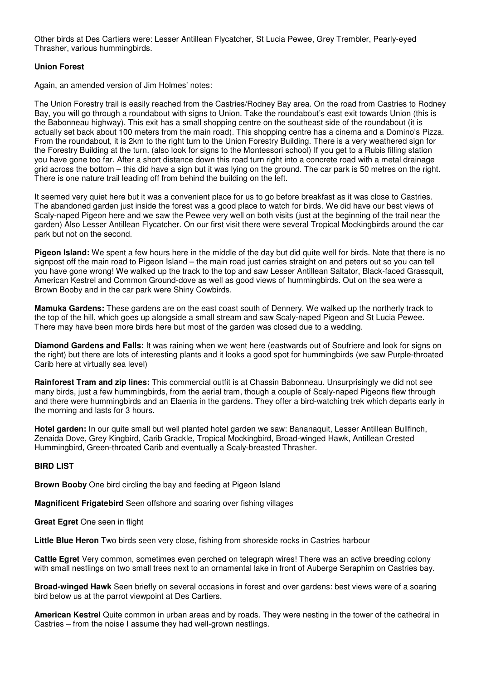Other birds at Des Cartiers were: Lesser Antillean Flycatcher, St Lucia Pewee, Grey Trembler, Pearly-eyed Thrasher, various hummingbirds.

### **Union Forest**

Again, an amended version of Jim Holmes' notes:

The Union Forestry trail is easily reached from the Castries/Rodney Bay area. On the road from Castries to Rodney Bay, you will go through a roundabout with signs to Union. Take the roundabout's east exit towards Union (this is the Babonneau highway). This exit has a small shopping centre on the southeast side of the roundabout (it is actually set back about 100 meters from the main road). This shopping centre has a cinema and a Domino's Pizza. From the roundabout, it is 2km to the right turn to the Union Forestry Building. There is a very weathered sign for the Forestry Building at the turn. (also look for signs to the Montessori school) If you get to a Rubis filling station you have gone too far. After a short distance down this road turn right into a concrete road with a metal drainage grid across the bottom – this did have a sign but it was lying on the ground. The car park is 50 metres on the right. There is one nature trail leading off from behind the building on the left.

It seemed very quiet here but it was a convenient place for us to go before breakfast as it was close to Castries. The abandoned garden just inside the forest was a good place to watch for birds. We did have our best views of Scaly-naped Pigeon here and we saw the Pewee very well on both visits (just at the beginning of the trail near the garden) Also Lesser Antillean Flycatcher. On our first visit there were several Tropical Mockingbirds around the car park but not on the second.

**Pigeon Island:** We spent a few hours here in the middle of the day but did quite well for birds. Note that there is no signpost off the main road to Pigeon Island – the main road just carries straight on and peters out so you can tell you have gone wrong! We walked up the track to the top and saw Lesser Antillean Saltator, Black-faced Grassquit, American Kestrel and Common Ground-dove as well as good views of hummingbirds. Out on the sea were a Brown Booby and in the car park were Shiny Cowbirds.

**Mamuka Gardens:** These gardens are on the east coast south of Dennery. We walked up the northerly track to the top of the hill, which goes up alongside a small stream and saw Scaly-naped Pigeon and St Lucia Pewee. There may have been more birds here but most of the garden was closed due to a wedding.

**Diamond Gardens and Falls:** It was raining when we went here (eastwards out of Soufriere and look for signs on the right) but there are lots of interesting plants and it looks a good spot for hummingbirds (we saw Purple-throated Carib here at virtually sea level)

**Rainforest Tram and zip lines:** This commercial outfit is at Chassin Babonneau. Unsurprisingly we did not see many birds, just a few hummingbirds, from the aerial tram, though a couple of Scaly-naped Pigeons flew through and there were hummingbirds and an Elaenia in the gardens. They offer a bird-watching trek which departs early in the morning and lasts for 3 hours.

**Hotel garden:** In our quite small but well planted hotel garden we saw: Bananaquit, Lesser Antillean Bullfinch, Zenaida Dove, Grey Kingbird, Carib Grackle, Tropical Mockingbird, Broad-winged Hawk, Antillean Crested Hummingbird, Green-throated Carib and eventually a Scaly-breasted Thrasher.

## **BIRD LIST**

**Brown Booby** One bird circling the bay and feeding at Pigeon Island

**Magnificent Frigatebird** Seen offshore and soaring over fishing villages

**Great Egret** One seen in flight

**Little Blue Heron** Two birds seen very close, fishing from shoreside rocks in Castries harbour

**Cattle Egret** Very common, sometimes even perched on telegraph wires! There was an active breeding colony with small nestlings on two small trees next to an ornamental lake in front of Auberge Seraphim on Castries bay.

**Broad-winged Hawk** Seen briefly on several occasions in forest and over gardens: best views were of a soaring bird below us at the parrot viewpoint at Des Cartiers.

**American Kestrel** Quite common in urban areas and by roads. They were nesting in the tower of the cathedral in Castries – from the noise I assume they had well-grown nestlings.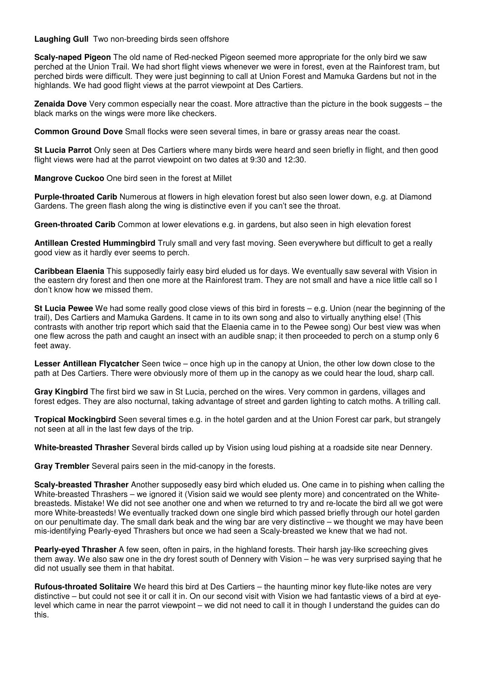**Laughing Gull** Two non-breeding birds seen offshore

**Scaly-naped Pigeon** The old name of Red-necked Pigeon seemed more appropriate for the only bird we saw perched at the Union Trail. We had short flight views whenever we were in forest, even at the Rainforest tram, but perched birds were difficult. They were just beginning to call at Union Forest and Mamuka Gardens but not in the highlands. We had good flight views at the parrot viewpoint at Des Cartiers.

**Zenaida Dove** Very common especially near the coast. More attractive than the picture in the book suggests – the black marks on the wings were more like checkers.

**Common Ground Dove** Small flocks were seen several times, in bare or grassy areas near the coast.

**St Lucia Parrot** Only seen at Des Cartiers where many birds were heard and seen briefly in flight, and then good flight views were had at the parrot viewpoint on two dates at 9:30 and 12:30.

**Mangrove Cuckoo** One bird seen in the forest at Millet

**Purple-throated Carib** Numerous at flowers in high elevation forest but also seen lower down, e.g. at Diamond Gardens. The green flash along the wing is distinctive even if you can't see the throat.

**Green-throated Carib** Common at lower elevations e.g. in gardens, but also seen in high elevation forest

**Antillean Crested Hummingbird** Truly small and very fast moving. Seen everywhere but difficult to get a really good view as it hardly ever seems to perch.

**Caribbean Elaenia** This supposedly fairly easy bird eluded us for days. We eventually saw several with Vision in the eastern dry forest and then one more at the Rainforest tram. They are not small and have a nice little call so I don't know how we missed them.

**St Lucia Pewee** We had some really good close views of this bird in forests – e.g. Union (near the beginning of the trail), Des Cartiers and Mamuka Gardens. It came in to its own song and also to virtually anything else! (This contrasts with another trip report which said that the Elaenia came in to the Pewee song) Our best view was when one flew across the path and caught an insect with an audible snap; it then proceeded to perch on a stump only 6 feet away.

**Lesser Antillean Flycatcher** Seen twice – once high up in the canopy at Union, the other low down close to the path at Des Cartiers. There were obviously more of them up in the canopy as we could hear the loud, sharp call.

**Gray Kingbird** The first bird we saw in St Lucia, perched on the wires. Very common in gardens, villages and forest edges. They are also nocturnal, taking advantage of street and garden lighting to catch moths. A trilling call.

**Tropical Mockingbird** Seen several times e.g. in the hotel garden and at the Union Forest car park, but strangely not seen at all in the last few days of the trip.

**White-breasted Thrasher** Several birds called up by Vision using loud pishing at a roadside site near Dennery.

**Gray Trembler** Several pairs seen in the mid-canopy in the forests.

**Scaly-breasted Thrasher** Another supposedly easy bird which eluded us. One came in to pishing when calling the White-breasted Thrashers – we ignored it (Vision said we would see plenty more) and concentrated on the Whitebreasteds. Mistake! We did not see another one and when we returned to try and re-locate the bird all we got were more White-breasteds! We eventually tracked down one single bird which passed briefly through our hotel garden on our penultimate day. The small dark beak and the wing bar are very distinctive – we thought we may have been mis-identifying Pearly-eyed Thrashers but once we had seen a Scaly-breasted we knew that we had not.

**Pearly-eyed Thrasher** A few seen, often in pairs, in the highland forests. Their harsh jay-like screeching gives them away. We also saw one in the dry forest south of Dennery with Vision – he was very surprised saying that he did not usually see them in that habitat.

**Rufous-throated Solitaire** We heard this bird at Des Cartiers – the haunting minor key flute-like notes are very distinctive – but could not see it or call it in. On our second visit with Vision we had fantastic views of a bird at eyelevel which came in near the parrot viewpoint – we did not need to call it in though I understand the guides can do this.